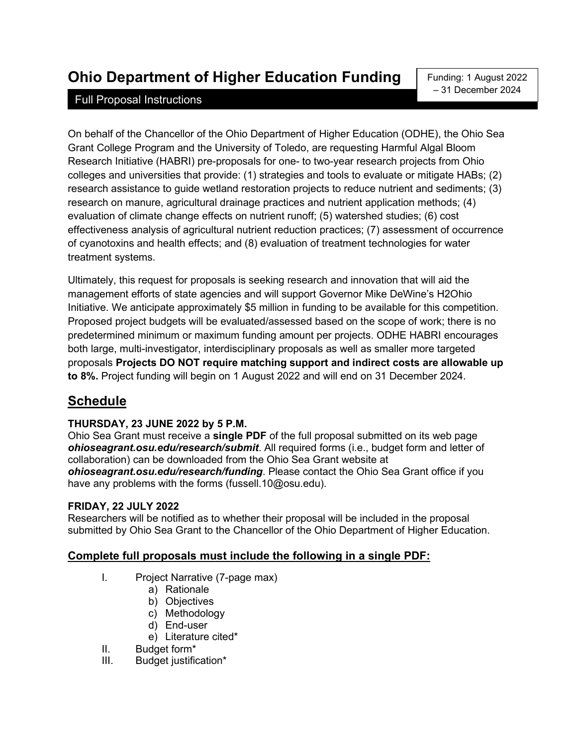# **Ohio Department of Higher Education Funding**

### Full Proposal Instructions

Funding: 1 August 2022 – 31 December 2024

On behalf of the Chancellor of the Ohio Department of Higher Education (ODHE), the Ohio Sea Grant College Program and the University of Toledo, are requesting Harmful Algal Bloom Research Initiative (HABRI) pre-proposals for one- to two-year research projects from Ohio colleges and universities that provide: (1) strategies and tools to evaluate or mitigate HABs; (2) research assistance to guide wetland restoration projects to reduce nutrient and sediments; (3) research on manure, agricultural drainage practices and nutrient application methods; (4) evaluation of climate change effects on nutrient runoff; (5) watershed studies; (6) cost effectiveness analysis of agricultural nutrient reduction practices; (7) assessment of occurrence of cyanotoxins and health effects; and (8) evaluation of treatment technologies for water treatment systems.

Ultimately, this request for proposals is seeking research and innovation that will aid the management efforts of state agencies and will support Governor Mike DeWine's H2Ohio Initiative. We anticipate approximately \$5 million in funding to be available for this competition. Proposed project budgets will be evaluated/assessed based on the scope of work; there is no predetermined minimum or maximum funding amount per projects. ODHE HABRI encourages both large, multi-investigator, interdisciplinary proposals as well as smaller more targeted proposals **Projects DO NOT require matching support and indirect costs are allowable up to 8%.** Project funding will begin on 1 August 2022 and will end on 31 December 2024.

## **Schedule**

#### **THURSDAY, 23 JUNE 2022 by 5 P.M.**

Ohio Sea Grant must receive a **single PDF** of the full proposal submitted on its web page *ohioseagrant.osu.edu/research/submit*. All required forms (i.e., budget form and letter of collaboration) can be downloaded from the Ohio Sea Grant website at *ohioseagrant.osu.edu/research/funding*. Please contact the Ohio Sea Grant office if you have any problems with the forms (fussell.10@osu.edu).

#### **FRIDAY, 22 JULY 2022**

Researchers will be notified as to whether their proposal will be included in the proposal submitted by Ohio Sea Grant to the Chancellor of the Ohio Department of Higher Education.

#### **Complete full proposals must include the following in a single PDF:**

- I. Project Narrative (7-page max)
	- a) Rationale
	- b) Objectives
	- c) Methodology
	- d) End-user
	- e) Literature cited\*
- II. Budget form<sup>\*</sup><br>III. Budget iustific
- Budget justification\*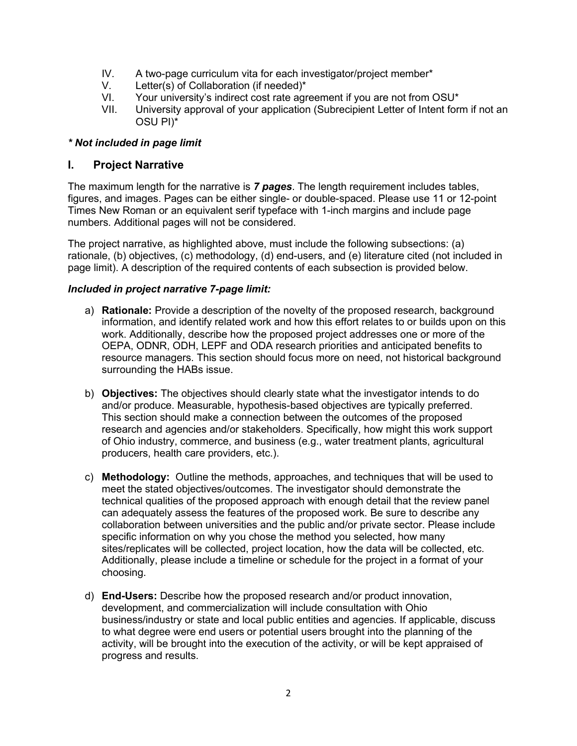- IV. A two-page curriculum vita for each investigator/project member\*
- V. Letter(s) of Collaboration (if needed)\*
- VI. Your university's indirect cost rate agreement if you are not from OSU\*<br>VII. University approval of your application (Subrecipient Letter of Intent for
- University approval of your application (Subrecipient Letter of Intent form if not an OSU PI)\*

#### *\* Not included in page limit*

#### **I. Project Narrative**

The maximum length for the narrative is *7 pages*. The length requirement includes tables, figures, and images. Pages can be either single- or double-spaced. Please use 11 or 12-point Times New Roman or an equivalent serif typeface with 1-inch margins and include page numbers. Additional pages will not be considered.

The project narrative, as highlighted above, must include the following subsections: (a) rationale, (b) objectives, (c) methodology, (d) end-users, and (e) literature cited (not included in page limit). A description of the required contents of each subsection is provided below.

#### *Included in project narrative 7-page limit:*

- a) **Rationale:** Provide a description of the novelty of the proposed research, background information, and identify related work and how this effort relates to or builds upon on this work. Additionally, describe how the proposed project addresses one or more of the OEPA, ODNR, ODH, LEPF and ODA research priorities and anticipated benefits to resource managers. This section should focus more on need, not historical background surrounding the HABs issue.
- b) **Objectives:** The objectives should clearly state what the investigator intends to do and/or produce. Measurable, hypothesis-based objectives are typically preferred. This section should make a connection between the outcomes of the proposed research and agencies and/or stakeholders. Specifically, how might this work support of Ohio industry, commerce, and business (e.g., water treatment plants, agricultural producers, health care providers, etc.).
- c) **Methodology:** Outline the methods, approaches, and techniques that will be used to meet the stated objectives/outcomes. The investigator should demonstrate the technical qualities of the proposed approach with enough detail that the review panel can adequately assess the features of the proposed work. Be sure to describe any collaboration between universities and the public and/or private sector. Please include specific information on why you chose the method you selected, how many sites/replicates will be collected, project location, how the data will be collected, etc. Additionally, please include a timeline or schedule for the project in a format of your choosing.
- d) **End-Users:** Describe how the proposed research and/or product innovation, development, and commercialization will include consultation with Ohio business/industry or state and local public entities and agencies. If applicable, discuss to what degree were end users or potential users brought into the planning of the activity, will be brought into the execution of the activity, or will be kept appraised of progress and results.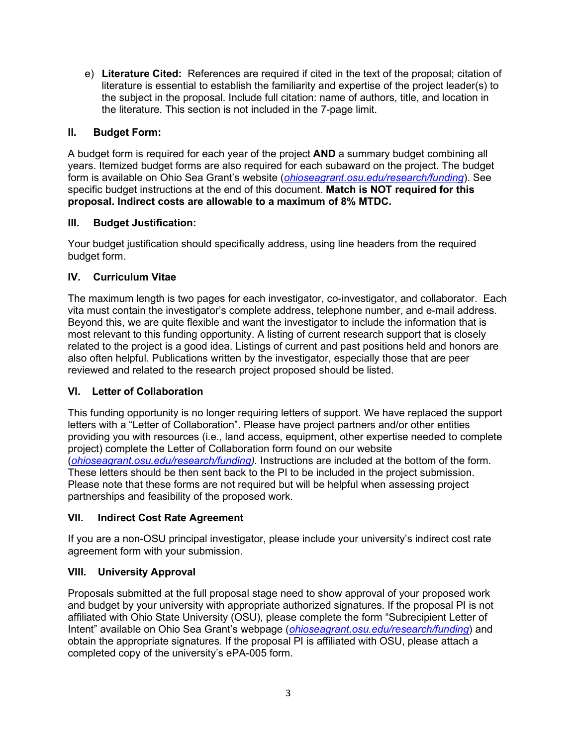e) **Literature Cited:** References are required if cited in the text of the proposal; citation of literature is essential to establish the familiarity and expertise of the project leader(s) to the subject in the proposal. Include full citation: name of authors, title, and location in the literature. This section is not included in the 7-page limit.

#### **II. Budget Form:**

A budget form is required for each year of the project **AND** a summary budget combining all years. Itemized budget forms are also required for each subaward on the project. The budget form is available on Ohio Sea Grant's website (*[ohioseagrant.osu.edu/research/funding](http://ohioseagrant.osu.edu/research/funding)*). See specific budget instructions at the end of this document. **Match is NOT required for this proposal. Indirect costs are allowable to a maximum of 8% MTDC.** 

#### **III. Budget Justification:**

Your budget justification should specifically address, using line headers from the required budget form.

#### **IV. Curriculum Vitae**

The maximum length is two pages for each investigator, co-investigator, and collaborator. Each vita must contain the investigator's complete address, telephone number, and e-mail address. Beyond this, we are quite flexible and want the investigator to include the information that is most relevant to this funding opportunity. A listing of current research support that is closely related to the project is a good idea. Listings of current and past positions held and honors are also often helpful. Publications written by the investigator, especially those that are peer reviewed and related to the research project proposed should be listed.

#### **VI. Letter of Collaboration**

This funding opportunity is no longer requiring letters of support. We have replaced the support letters with a "Letter of Collaboration". Please have project partners and/or other entities providing you with resources (i.e., land access, equipment, other expertise needed to complete project) complete the Letter of Collaboration form found on our website (*[ohioseagrant.osu.edu/research/funding\)](http://ohioseagrant.osu.edu/research/funding).* Instructions are included at the bottom of the form. These letters should be then sent back to the PI to be included in the project submission. Please note that these forms are not required but will be helpful when assessing project partnerships and feasibility of the proposed work.

#### **VII. Indirect Cost Rate Agreement**

If you are a non-OSU principal investigator, please include your university's indirect cost rate agreement form with your submission.

#### **VIII. University Approval**

Proposals submitted at the full proposal stage need to show approval of your proposed work and budget by your university with appropriate authorized signatures. If the proposal PI is not affiliated with Ohio State University (OSU), please complete the form "Subrecipient Letter of Intent" available on Ohio Sea Grant's webpage (*[ohioseagrant.osu.edu/research/funding](http://ohioseagrant.osu.edu/research/funding)*) and obtain the appropriate signatures. If the proposal PI is affiliated with OSU, please attach a completed copy of the university's ePA-005 form.